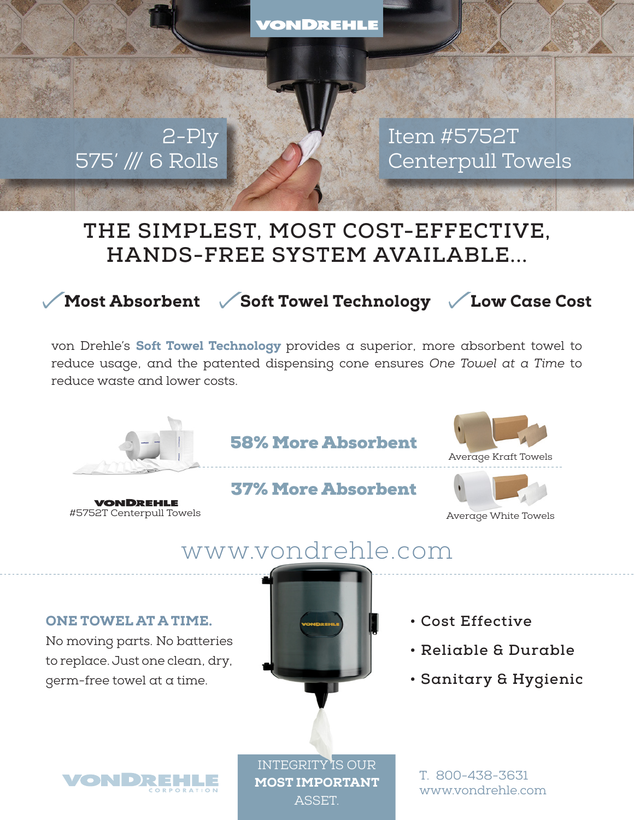VONDREHLE

# 2-Ply 575' /// 6 Rolls

Item #5752T Centerpull Towels

# **THE SIMPLEST, MOST COST-EFFECTIVE, HANDS-FREE SYSTEM AVAILABLE...**

Most Absorbent  $\sqrt{\phantom{a}}$  Soft Towel Technology  $\phantom{a}$  Low Case Cost

von Drehle's Soft Towel Technology provides  $\alpha$  superior, more absorbent towel to reduce usage, and the patented dispensing cone ensures *One Towel at a Time* to reduce waste and lower costs.



#5752T Centerpull Towels

*VONDREHLE* 

58% More Absorbent

37% More Absorbent





Average White Towels

# www.vondrehle.com

#### ONE TOWEL AT A TIME.

No moving parts. No batteries to replace. Just one clean, dry, germ-free towel at a time.



- **Cost Effective**
- **Reliable & Durable**
- **Sanitary & Hygienic**



INTEGRITY IS OUR MOST IMPORTANT **ASSET.** 

T. 800-438-3631 www.vondrehle.com